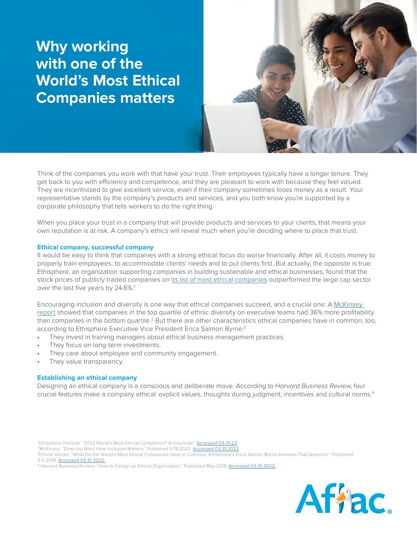## **Why working with one of the World's Most Ethical Companies matters**

Think of the companies you work with that have your trust. Their employees typically have a longer tenure. They get back to you with efficiency and competence, and they are pleasant to work with because they feel valued. They are incentivized to give excellent service, even if their company sometimes loses money as a result. Your representative stands by the company's products and services, and you both know you're supported by a corporate philosophy that tells workers to do the right thing.

When you place your trust in a company that will provide products and services to your clients, that means your own reputation is at risk. A company's ethics will reveal much when you're deciding *where* to place that trust.

## **Ethical company, successful company**

It would be easy to think that companies with a strong ethical focus do worse financially. After all, it costs money to properly train employees, to accommodate clients' needs and to put clients first. But actually, the opposite is true: Ethisphere, an organization supporting companies in building sustainable and ethical businesses, found that the stock prices of publicly traded companies on [its list of most ethical companies](https://worldsmostethicalcompanies.com/honorees/) outperformed the large cap sector over the last five years by 24.6%.<sup>1</sup>

Encouraging inclusion and diversity is one way that ethical companies succeed, and a crucial one: A [McKinsey](https://www.mckinsey.com/business-functions/organization/our-insights/why-diversity-matters)  [report](https://www.mckinsey.com/business-functions/organization/our-insights/why-diversity-matters) showed that companies in the top quartile of ethnic diversity on executive teams had 36% more profitability than companies in the bottom quartile.<sup>2</sup> But there are other characteristics ethical companies have in common, too, according to Ethisphere Executive Vice President Erica Salmon Byrne:<sup>3</sup>

- They invest in training managers about ethical business management practices.
- They focus on long-term investments.
- They care about employee and community engagement.
- They value transparency.

## **Establishing an ethical company**

Designing an ethical company is a conscious and deliberate move. According to *Harvard Business Review*, four crucial features make a company ethical: explicit values, thoughts during judgment, incentives and cultural norms.4

<sup>4</sup> Harvard Business Review. "How to Design an Ethical Organization." Published May 2019. [Accessed 03.31.2022.](https://hbr.org/2019/05/how-to-design-an-ethical-organization)



<sup>&</sup>lt;sup>1</sup>Ethisphere Institute. "2022 World's Most Ethical Companies® Announced." [Accessed 03.31.22](https://worldsmostethicalcompanies.com/honorees/)

<sup>&</sup>lt;sup>2</sup>McKinsey. "Diversity Wins: How Inclusion Matters." Published 5.19.2020. [Accessed 0](https://www.mckinsey.com/featured-insights/diversity-and-inclusion/diversity-wins-how-inclusion-matters)3.31.2022

<sup>&</sup>lt;sup>3</sup>Ethical Voices. "What Do the World's Most Ethical Companies Have in Common: Ethisphere's Erica Salmon Byrne Answers That Question." Published 3.11.2019. [Accessed 03.31.2022.](https://www.ethicalvoices.com/2019/03/11/what-the-worlds-most-ethical-companies-have-in-common-ethispheres-erica-salmon-byrne/#wme)